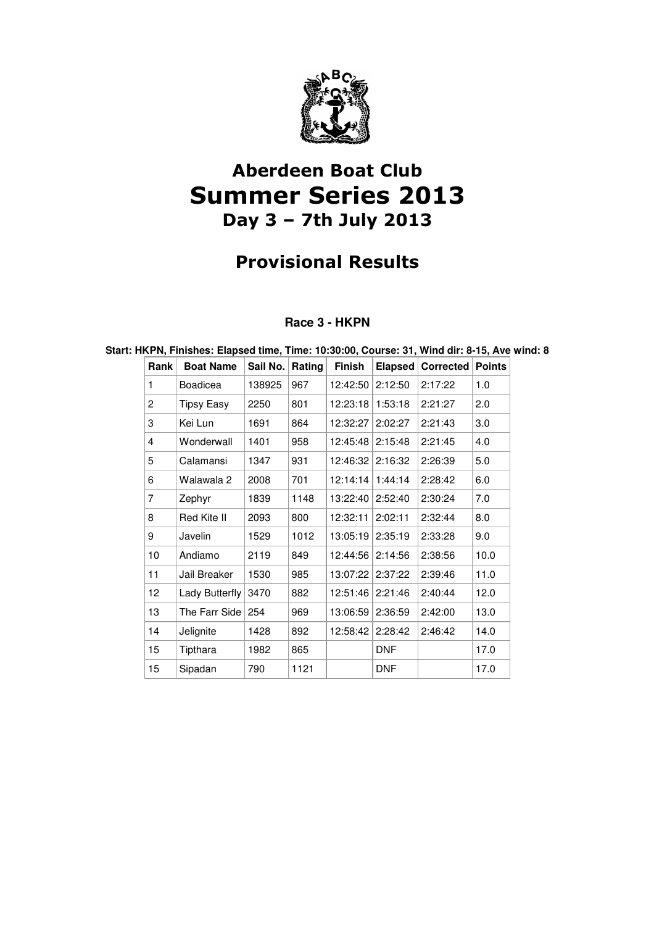

# Aberdeen Boat Club Summer Series 2013 Day 3 – 7th July 2013

# Provisional Results

## **Race 3 - HKPN**

**Start: HKPN, Finishes: Elapsed time, Time: 10:30:00, Course: 31, Wind dir: 8-15, Ave wind: 8** 

| Rank | <b>Boat Name</b>  | Sail No. | Rating | Finish   | <b>Elapsed</b> | <b>Corrected</b> | <b>Points</b> |
|------|-------------------|----------|--------|----------|----------------|------------------|---------------|
| 1    | Boadicea          | 138925   | 967    | 12:42:50 | 2:12:50        | 2:17:22          | 1.0           |
| 2    | <b>Tipsy Easy</b> | 2250     | 801    | 12:23:18 | 1:53:18        | 2:21:27          | 2.0           |
| 3    | Kei Lun           | 1691     | 864    | 12:32:27 | 2:02:27        | 2:21:43          | 3.0           |
| 4    | Wonderwall        | 1401     | 958    | 12:45:48 | 2:15:48        | 2:21:45          | 4.0           |
| 5    | Calamansi         | 1347     | 931    | 12:46:32 | 2:16:32        | 2:26:39          | 5.0           |
| 6    | Walawala 2        | 2008     | 701    | 12:14:14 | 1:44:14        | 2:28:42          | 6.0           |
| 7    | Zephyr            | 1839     | 1148   | 13:22:40 | 2:52:40        | 2:30:24          | 7.0           |
| 8    | Red Kite II       | 2093     | 800    | 12:32:11 | 2:02:11        | 2:32:44          | 8.0           |
| 9    | Javelin           | 1529     | 1012   | 13:05:19 | 2:35:19        | 2:33:28          | 9.0           |
| 10   | Andiamo           | 2119     | 849    | 12:44:56 | 2:14:56        | 2:38:56          | 10.0          |
| 11   | Jail Breaker      | 1530     | 985    | 13:07:22 | 2:37:22        | 2:39:46          | 11.0          |
| 12   | Lady Butterfly    | 3470     | 882    | 12:51:46 | 2:21:46        | 2:40:44          | 12.0          |
| 13   | The Farr Side     | 254      | 969    | 13:06:59 | 2:36:59        | 2:42:00          | 13.0          |
| 14   | Jelignite         | 1428     | 892    | 12:58:42 | 2:28:42        | 2:46:42          | 14.0          |
| 15   | Tipthara          | 1982     | 865    |          | <b>DNF</b>     |                  | 17.0          |
| 15   | Sipadan           | 790      | 1121   |          | <b>DNF</b>     |                  | 17.0          |